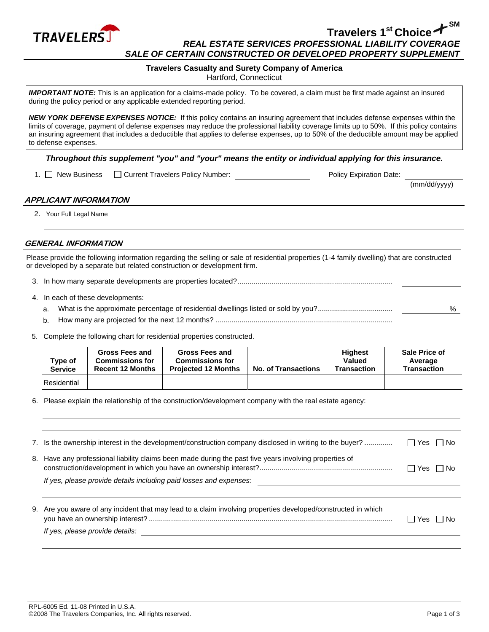

# **Travelers 1st Choice SM** *REAL ESTATE SERVICES PROFESSIONAL LIABILITY COVERAGE SALE OF CERTAIN CONSTRUCTED OR DEVELOPED PROPERTY SUPPLEMENT*

## **Travelers Casualty and Surety Company of America**

Hartford, Connecticut

*IMPORTANT NOTE:* This is an application for a claims-made policy. To be covered, a claim must be first made against an insured during the policy period or any applicable extended reporting period.

*NEW YORK DEFENSE EXPENSES NOTICE:* If this policy contains an insuring agreement that includes defense expenses within the limits of coverage, payment of defense expenses may reduce the professional liability coverage limits up to 50%. If this policy contains an insuring agreement that includes a deductible that applies to defense expenses, up to 50% of the deductible amount may be applied to defense expenses.

#### *Throughout this supplement "you" and "your" means the entity or individual applying for this insurance.*

1. New Business Courrent Travelers Policy Number: Policy Expiration Date:

(mm/dd/yyyy)

# **APPLICANT INFORMATION**

2. Your Full Legal Name

# **GENERAL INFORMATION**

Please provide the following information regarding the selling or sale of residential properties (1-4 family dwelling) that are constructed or developed by a separate but related construction or development firm.

- 3. In how many separate developments are properties located?.............................................................................
- 4. In each of these developments:
	- a. What is the approximate percentage of residential dwellings listed or sold by you?..................................... %
	- b. How many are projected for the next 12 months? ........................................................................................
- 5. Complete the following chart for residential properties constructed.

| Type of<br><b>Service</b> | <b>Gross Fees and</b><br><b>Commissions for</b><br><b>Recent 12 Months</b> | <b>Gross Fees and</b><br><b>Commissions for</b><br><b>Projected 12 Months</b> | <b>No. of Transactions</b> | <b>Highest</b><br>Valued<br><b>Transaction</b> | <b>Sale Price of</b><br>Average<br><b>Transaction</b> |
|---------------------------|----------------------------------------------------------------------------|-------------------------------------------------------------------------------|----------------------------|------------------------------------------------|-------------------------------------------------------|
| Residential               |                                                                            |                                                                               |                            |                                                |                                                       |

6. Please explain the relationship of the construction/development company with the real estate agency:

| 7. Is the ownership interest in the development/construction company disclosed in writing to the buyer?                                                                      | $\Box$ Yes $\Box$ No |
|------------------------------------------------------------------------------------------------------------------------------------------------------------------------------|----------------------|
| 8. Have any professional liability claims been made during the past five years involving properties of<br>If yes, please provide details including paid losses and expenses: | $\Box$ Yes $\Box$ No |
|                                                                                                                                                                              |                      |
| 9. Are you aware of any incident that may lead to a claim involving properties developed/constructed in which<br>If yes, please provide details:                             | l INo<br>l Yes       |
|                                                                                                                                                                              |                      |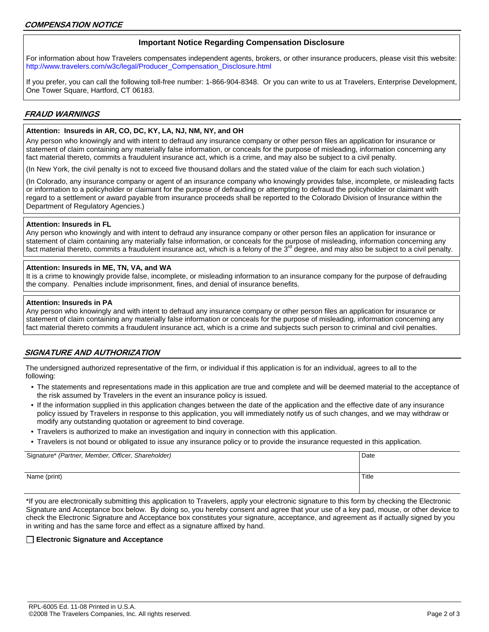## **Important Notice Regarding Compensation Disclosure**

For information about how Travelers compensates independent agents, brokers, or other insurance producers, please visit this website: [http://www.travelers.com/w3c/legal/Producer\\_Compensation\\_Disclosure.html](http://www.travelers.com/w3c/legal/Producer_Compensation_Disclosure.html)

If you prefer, you can call the following toll-free number: 1-866-904-8348. Or you can write to us at Travelers, Enterprise Development, One Tower Square, Hartford, CT 06183.

## **FRAUD WARNINGS**

#### **Attention: Insureds in AR, CO, DC, KY, LA, NJ, NM, NY, and OH**

Any person who knowingly and with intent to defraud any insurance company or other person files an application for insurance or statement of claim containing any materially false information, or conceals for the purpose of misleading, information concerning any fact material thereto, commits a fraudulent insurance act, which is a crime, and may also be subject to a civil penalty.

(In New York, the civil penalty is not to exceed five thousand dollars and the stated value of the claim for each such violation.)

(In Colorado, any insurance company or agent of an insurance company who knowingly provides false, incomplete, or misleading facts or information to a policyholder or claimant for the purpose of defrauding or attempting to defraud the policyholder or claimant with regard to a settlement or award payable from insurance proceeds shall be reported to the Colorado Division of Insurance within the Department of Regulatory Agencies.)

#### **Attention: Insureds in FL**

Any person who knowingly and with intent to defraud any insurance company or other person files an application for insurance or statement of claim containing any materially false information, or conceals for the purpose of misleading, information concerning any fact material thereto, commits a fraudulent insurance act, which is a felony of the  $3<sup>rd</sup>$  degree, and may also be subject to a civil penalty.

## **Attention: Insureds in ME, TN, VA, and WA**

It is a crime to knowingly provide false, incomplete, or misleading information to an insurance company for the purpose of defrauding the company. Penalties include imprisonment, fines, and denial of insurance benefits.

#### **Attention: Insureds in PA**

Any person who knowingly and with intent to defraud any insurance company or other person files an application for insurance or statement of claim containing any materially false information or conceals for the purpose of misleading, information concerning any fact material thereto commits a fraudulent insurance act, which is a crime and subjects such person to criminal and civil penalties.

# **SIGNATURE AND AUTHORIZATION**

The undersigned authorized representative of the firm, or individual if this application is for an individual, agrees to all to the following:

- The statements and representations made in this application are true and complete and will be deemed material to the acceptance of the risk assumed by Travelers in the event an insurance policy is issued.
- If the information supplied in this application changes between the date of the application and the effective date of any insurance policy issued by Travelers in response to this application, you will immediately notify us of such changes, and we may withdraw or modify any outstanding quotation or agreement to bind coverage.
- Travelers is authorized to make an investigation and inquiry in connection with this application.
- Travelers is not bound or obligated to issue any insurance policy or to provide the insurance requested in this application.

| Signature* (Partner, Member, Officer, Shareholder) | Date  |
|----------------------------------------------------|-------|
| Name (print)                                       | Title |

\*If you are electronically submitting this application to Travelers, apply your electronic signature to this form by checking the Electronic Signature and Acceptance box below. By doing so, you hereby consent and agree that your use of a key pad, mouse, or other device to check the Electronic Signature and Acceptance box constitutes your signature, acceptance, and agreement as if actually signed by you in writing and has the same force and effect as a signature affixed by hand.

#### **Electronic Signature and Acceptance**